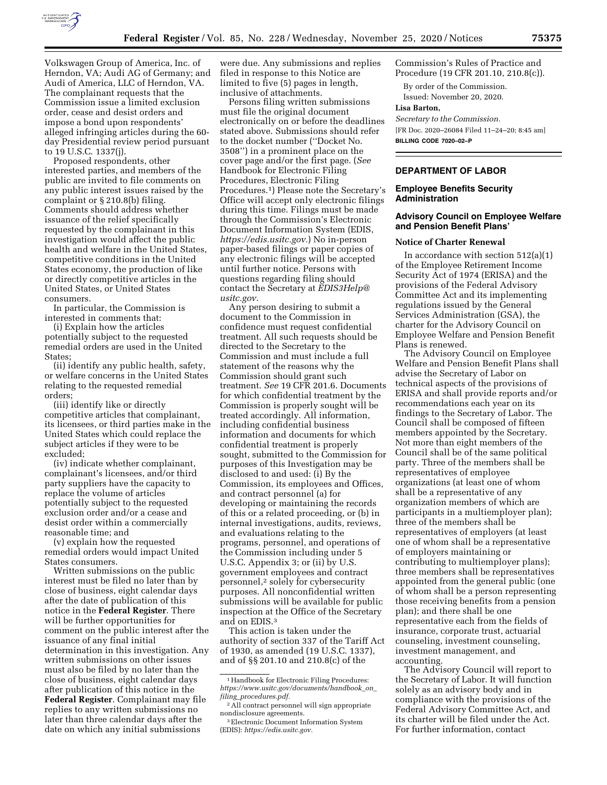

Volkswagen Group of America, Inc. of Herndon, VA; Audi AG of Germany; and Audi of America, LLC of Herndon, VA. The complainant requests that the Commission issue a limited exclusion order, cease and desist orders and impose a bond upon respondents' alleged infringing articles during the 60 day Presidential review period pursuant to 19 U.S.C. 1337(j).

Proposed respondents, other interested parties, and members of the public are invited to file comments on any public interest issues raised by the complaint or § 210.8(b) filing. Comments should address whether issuance of the relief specifically requested by the complainant in this investigation would affect the public health and welfare in the United States, competitive conditions in the United States economy, the production of like or directly competitive articles in the United States, or United States consumers.

In particular, the Commission is interested in comments that:

(i) Explain how the articles potentially subject to the requested remedial orders are used in the United States;

(ii) identify any public health, safety, or welfare concerns in the United States relating to the requested remedial orders;

(iii) identify like or directly competitive articles that complainant, its licensees, or third parties make in the United States which could replace the subject articles if they were to be excluded;

(iv) indicate whether complainant, complainant's licensees, and/or third party suppliers have the capacity to replace the volume of articles potentially subject to the requested exclusion order and/or a cease and desist order within a commercially reasonable time; and

(v) explain how the requested remedial orders would impact United States consumers.

Written submissions on the public interest must be filed no later than by close of business, eight calendar days after the date of publication of this notice in the **Federal Register**. There will be further opportunities for comment on the public interest after the issuance of any final initial determination in this investigation. Any written submissions on other issues must also be filed by no later than the close of business, eight calendar days after publication of this notice in the **Federal Register**. Complainant may file replies to any written submissions no later than three calendar days after the date on which any initial submissions

were due. Any submissions and replies filed in response to this Notice are limited to five (5) pages in length, inclusive of attachments.

Persons filing written submissions must file the original document electronically on or before the deadlines stated above. Submissions should refer to the docket number (''Docket No. 3508'') in a prominent place on the cover page and/or the first page. (*See*  Handbook for Electronic Filing Procedures, Electronic Filing Procedures.1) Please note the Secretary's Office will accept only electronic filings during this time. Filings must be made through the Commission's Electronic Document Information System (EDIS, *[https://edis.usitc.gov.](https://edis.usitc.gov)*) No in-person paper-based filings or paper copies of any electronic filings will be accepted until further notice. Persons with questions regarding filing should contact the Secretary at *[EDIS3Help@](mailto:EDIS3Help@usitc.gov) [usitc.gov.](mailto:EDIS3Help@usitc.gov)* 

Any person desiring to submit a document to the Commission in confidence must request confidential treatment. All such requests should be directed to the Secretary to the Commission and must include a full statement of the reasons why the Commission should grant such treatment. *See* 19 CFR 201.6. Documents for which confidential treatment by the Commission is properly sought will be treated accordingly. All information, including confidential business information and documents for which confidential treatment is properly sought, submitted to the Commission for purposes of this Investigation may be disclosed to and used: (i) By the Commission, its employees and Offices, and contract personnel (a) for developing or maintaining the records of this or a related proceeding, or (b) in internal investigations, audits, reviews, and evaluations relating to the programs, personnel, and operations of the Commission including under 5 U.S.C. Appendix 3; or (ii) by U.S. government employees and contract personnel,2 solely for cybersecurity purposes. All nonconfidential written submissions will be available for public inspection at the Office of the Secretary and on EDIS.3

This action is taken under the authority of section 337 of the Tariff Act of 1930, as amended (19 U.S.C. 1337), and of §§ 201.10 and 210.8(c) of the

Commission's Rules of Practice and Procedure (19 CFR 201.10, 210.8(c)).

By order of the Commission. Issued: November 20, 2020.

#### **Lisa Barton,**

*Secretary to the Commission.* 

[FR Doc. 2020–26084 Filed 11–24–20; 8:45 am] **BILLING CODE 7020–02–P** 

# **DEPARTMENT OF LABOR**

#### **Employee Benefits Security Administration**

## **Advisory Council on Employee Welfare and Pension Benefit Plans'**

#### **Notice of Charter Renewal**

In accordance with section  $512(a)(1)$ of the Employee Retirement Income Security Act of 1974 (ERISA) and the provisions of the Federal Advisory Committee Act and its implementing regulations issued by the General Services Administration (GSA), the charter for the Advisory Council on Employee Welfare and Pension Benefit Plans is renewed.

The Advisory Council on Employee Welfare and Pension Benefit Plans shall advise the Secretary of Labor on technical aspects of the provisions of ERISA and shall provide reports and/or recommendations each year on its findings to the Secretary of Labor. The Council shall be composed of fifteen members appointed by the Secretary. Not more than eight members of the Council shall be of the same political party. Three of the members shall be representatives of employee organizations (at least one of whom shall be a representative of any organization members of which are participants in a multiemployer plan); three of the members shall be representatives of employers (at least one of whom shall be a representative of employers maintaining or contributing to multiemployer plans); three members shall be representatives appointed from the general public (one of whom shall be a person representing those receiving benefits from a pension plan); and there shall be one representative each from the fields of insurance, corporate trust, actuarial counseling, investment counseling, investment management, and accounting.

The Advisory Council will report to the Secretary of Labor. It will function solely as an advisory body and in compliance with the provisions of the Federal Advisory Committee Act, and its charter will be filed under the Act. For further information, contact

<sup>&</sup>lt;sup>1</sup> Handbook for Electronic Filing Procedures: *[https://www.usitc.gov/documents/handbook](https://www.usitc.gov/documents/handbook_on_filing_procedures.pdf)*\_*on*\_ *filing*\_*[procedures.pdf.](https://www.usitc.gov/documents/handbook_on_filing_procedures.pdf)* 

<sup>2</sup>All contract personnel will sign appropriate nondisclosure agreements.

<sup>3</sup>Electronic Document Information System (EDIS): *[https://edis.usitc.gov.](https://edis.usitc.gov)*